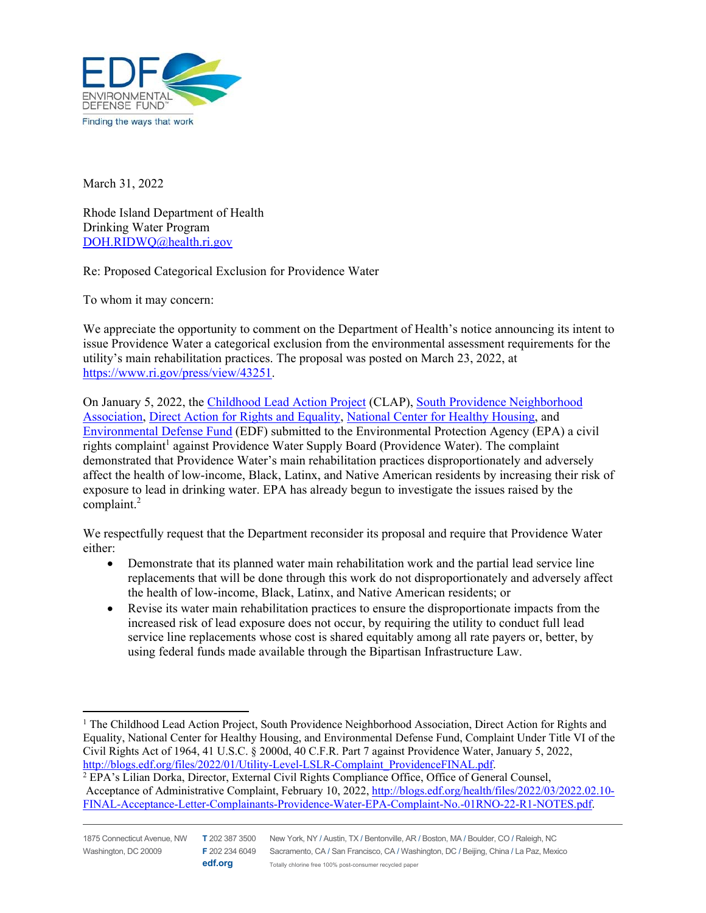

March 31, 2022

Rhode Island Department of Health Drinking Water Program DOH.RIDWQ@health.ri.gov

Re: Proposed Categorical Exclusion for Providence Water

To whom it may concern:

We appreciate the opportunity to comment on the Department of Health's notice announcing its intent to issue Providence Water a categorical exclusion from the environmental assessment requirements for the utility's main rehabilitation practices. The proposal was posted on March 23, 2022, at https://www.ri.gov/press/view/43251.

On January 5, 2022, the Childhood Lead Action Project (CLAP), South Providence Neighborhood Association, Direct Action for Rights and Equality, National Center for Healthy Housing, and Environmental Defense Fund (EDF) submitted to the Environmental Protection Agency (EPA) a civil rights complaint<sup>1</sup> against Providence Water Supply Board (Providence Water). The complaint demonstrated that Providence Water's main rehabilitation practices disproportionately and adversely affect the health of low-income, Black, Latinx, and Native American residents by increasing their risk of exposure to lead in drinking water. EPA has already begun to investigate the issues raised by the complaint.<sup>2</sup>

We respectfully request that the Department reconsider its proposal and require that Providence Water either:

- Demonstrate that its planned water main rehabilitation work and the partial lead service line replacements that will be done through this work do not disproportionately and adversely affect the health of low-income, Black, Latinx, and Native American residents; or
- Revise its water main rehabilitation practices to ensure the disproportionate impacts from the increased risk of lead exposure does not occur, by requiring the utility to conduct full lead service line replacements whose cost is shared equitably among all rate payers or, better, by using federal funds made available through the Bipartisan Infrastructure Law.

<sup>&</sup>lt;sup>1</sup> The Childhood Lead Action Project, South Providence Neighborhood Association, Direct Action for Rights and Equality, National Center for Healthy Housing, and Environmental Defense Fund, Complaint Under Title VI of the Civil Rights Act of 1964, 41 U.S.C. § 2000d, 40 C.F.R. Part 7 against Providence Water, January 5, 2022, http://blogs.edf.org/files/2022/01/Utility-Level-LSLR-Complaint\_ProvidenceFINAL.pdf.

<sup>&</sup>lt;sup>2</sup> EPA's Lilian Dorka, Director, External Civil Rights Compliance Office, Office of General Counsel, Acceptance of Administrative Complaint, February 10, 2022, http://blogs.edf.org/health/files/2022/03/2022.02.10- FINAL-Acceptance-Letter-Complainants-Providence-Water-EPA-Complaint-No.-01RNO-22-R1-NOTES.pdf.

**edf.org**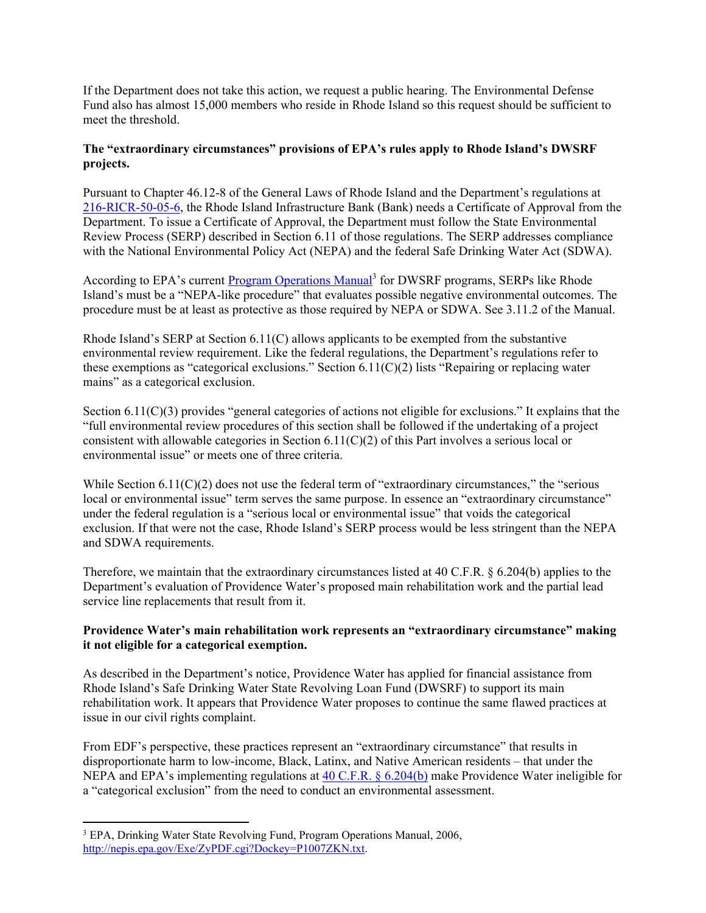If the Department does not take this action, we request a public hearing. The Environmental Defense Fund also has almost 15,000 members who reside in Rhode Island so this request should be sufficient to meet the threshold.

## **The "extraordinary circumstances" provisions of EPA's rules apply to Rhode Island's DWSRF projects.**

Pursuant to Chapter 46.12-8 of the General Laws of Rhode Island and the Department's regulations at 216-RICR-50-05-6, the Rhode Island Infrastructure Bank (Bank) needs a Certificate of Approval from the Department. To issue a Certificate of Approval, the Department must follow the State Environmental Review Process (SERP) described in Section 6.11 of those regulations. The SERP addresses compliance with the National Environmental Policy Act (NEPA) and the federal Safe Drinking Water Act (SDWA).

According to EPA's current **Program Operations Manual**<sup>3</sup> for DWSRF programs, SERPs like Rhode Island's must be a "NEPA-like procedure" that evaluates possible negative environmental outcomes. The procedure must be at least as protective as those required by NEPA or SDWA. See 3.11.2 of the Manual.

Rhode Island's SERP at Section 6.11(C) allows applicants to be exempted from the substantive environmental review requirement. Like the federal regulations, the Department's regulations refer to these exemptions as "categorical exclusions." Section  $6.11(C)(2)$  lists "Repairing or replacing water mains" as a categorical exclusion.

Section 6.11(C)(3) provides "general categories of actions not eligible for exclusions." It explains that the "full environmental review procedures of this section shall be followed if the undertaking of a project consistent with allowable categories in Section 6.11(C)(2) of this Part involves a serious local or environmental issue" or meets one of three criteria.

While Section  $6.11(C)(2)$  does not use the federal term of "extraordinary circumstances," the "serious local or environmental issue" term serves the same purpose. In essence an "extraordinary circumstance" under the federal regulation is a "serious local or environmental issue" that voids the categorical exclusion. If that were not the case, Rhode Island's SERP process would be less stringent than the NEPA and SDWA requirements.

Therefore, we maintain that the extraordinary circumstances listed at 40 C.F.R. § 6.204(b) applies to the Department's evaluation of Providence Water's proposed main rehabilitation work and the partial lead service line replacements that result from it.

## **Providence Water's main rehabilitation work represents an "extraordinary circumstance" making it not eligible for a categorical exemption.**

As described in the Department's notice, Providence Water has applied for financial assistance from Rhode Island's Safe Drinking Water State Revolving Loan Fund (DWSRF) to support its main rehabilitation work. It appears that Providence Water proposes to continue the same flawed practices at issue in our civil rights complaint.

From EDF's perspective, these practices represent an "extraordinary circumstance" that results in disproportionate harm to low-income, Black, Latinx, and Native American residents – that under the NEPA and EPA's implementing regulations at 40 C.F.R. § 6.204(b) make Providence Water ineligible for a "categorical exclusion" from the need to conduct an environmental assessment.

<sup>&</sup>lt;sup>3</sup> EPA, Drinking Water State Revolving Fund, Program Operations Manual, 2006, http://nepis.epa.gov/Exe/ZyPDF.cgi?Dockey=P1007ZKN.txt.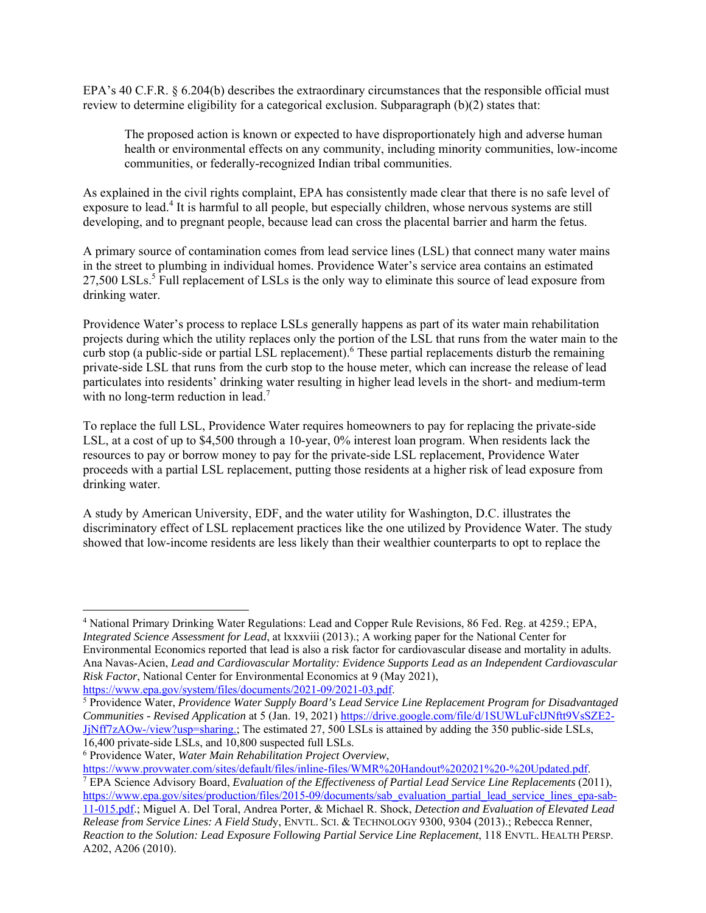EPA's 40 C.F.R. § 6.204(b) describes the extraordinary circumstances that the responsible official must review to determine eligibility for a categorical exclusion. Subparagraph  $(b)(2)$  states that:

The proposed action is known or expected to have disproportionately high and adverse human health or environmental effects on any community, including minority communities, low-income communities, or federally-recognized Indian tribal communities.

As explained in the civil rights complaint, EPA has consistently made clear that there is no safe level of exposure to lead.<sup>4</sup> It is harmful to all people, but especially children, whose nervous systems are still developing, and to pregnant people, because lead can cross the placental barrier and harm the fetus.

A primary source of contamination comes from lead service lines (LSL) that connect many water mains in the street to plumbing in individual homes. Providence Water's service area contains an estimated 27,500 LSLs.<sup>5</sup> Full replacement of LSLs is the only way to eliminate this source of lead exposure from drinking water.

Providence Water's process to replace LSLs generally happens as part of its water main rehabilitation projects during which the utility replaces only the portion of the LSL that runs from the water main to the curb stop (a public-side or partial LSL replacement).<sup>6</sup> These partial replacements disturb the remaining private-side LSL that runs from the curb stop to the house meter, which can increase the release of lead particulates into residents' drinking water resulting in higher lead levels in the short- and medium-term with no long-term reduction in lead.<sup>7</sup>

To replace the full LSL, Providence Water requires homeowners to pay for replacing the private-side LSL, at a cost of up to \$4,500 through a 10-year, 0% interest loan program. When residents lack the resources to pay or borrow money to pay for the private-side LSL replacement, Providence Water proceeds with a partial LSL replacement, putting those residents at a higher risk of lead exposure from drinking water.

A study by American University, EDF, and the water utility for Washington, D.C. illustrates the discriminatory effect of LSL replacement practices like the one utilized by Providence Water. The study showed that low-income residents are less likely than their wealthier counterparts to opt to replace the

6 Providence Water, *Water Main Rehabilitation Project Overview*,

https://www.provwater.com/sites/default/files/inline-files/WMR%20Handout%202021%20-%20Updated.pdf. EPA Science Advisory Board, *Evaluation of the Effectiveness of Partial Lead Service Line Replacements* (2011), https://www.epa.gov/sites/production/files/2015-09/documents/sab\_evaluation\_partial\_lead\_service\_lines\_epa-sab-

<sup>4</sup> National Primary Drinking Water Regulations: Lead and Copper Rule Revisions, 86 Fed. Reg. at 4259.; EPA, *Integrated Science Assessment for Lead*, at lxxxviii (2013).; A working paper for the National Center for Environmental Economics reported that lead is also a risk factor for cardiovascular disease and mortality in adults. Ana Navas-Acien, *Lead and Cardiovascular Mortality: Evidence Supports Lead as an Independent Cardiovascular Risk Factor*, National Center for Environmental Economics at 9 (May 2021), https://www.epa.gov/system/files/documents/2021-09/2021-03.pdf.

Providence Water, *Providence Water Supply Board's Lead Service Line Replacement Program for Disadvantaged Communities - Revised Application* at 5 (Jan. 19, 2021) https://drive.google.com/file/d/1SUWLuFclJNftt9VsSZE2- JjNff7zAOw-/view?usp=sharing.; The estimated 27, 500 LSLs is attained by adding the 350 public-side LSLs, 16,400 private-side LSLs, and 10,800 suspected full LSLs.

<sup>11-015.</sup>pdf.; Miguel A. Del Toral, Andrea Porter, & Michael R. Shock, *Detection and Evaluation of Elevated Lead Release from Service Lines: A Field Stud*y, ENVTL. SCI. & TECHNOLOGY 9300, 9304 (2013).; Rebecca Renner, *Reaction to the Solution: Lead Exposure Following Partial Service Line Replacement*, 118 ENVTL. HEALTH PERSP. A202, A206 (2010).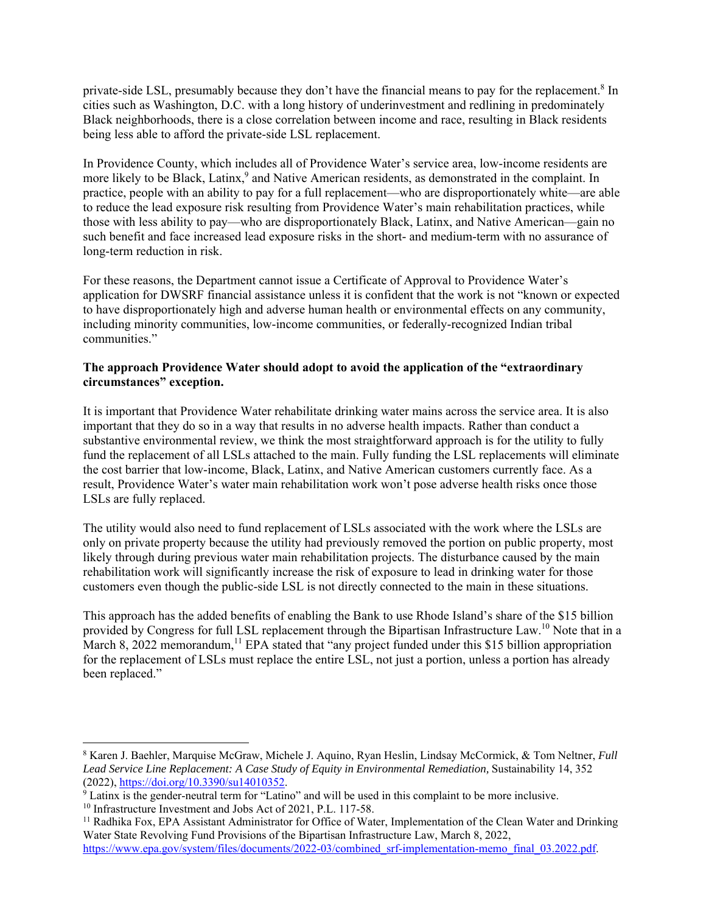private-side LSL, presumably because they don't have the financial means to pay for the replacement.<sup>8</sup> In cities such as Washington, D.C. with a long history of underinvestment and redlining in predominately Black neighborhoods, there is a close correlation between income and race, resulting in Black residents being less able to afford the private-side LSL replacement.

In Providence County, which includes all of Providence Water's service area, low-income residents are more likely to be Black, Latinx,<sup>9</sup> and Native American residents, as demonstrated in the complaint. In practice, people with an ability to pay for a full replacement—who are disproportionately white—are able to reduce the lead exposure risk resulting from Providence Water's main rehabilitation practices, while those with less ability to pay—who are disproportionately Black, Latinx, and Native American—gain no such benefit and face increased lead exposure risks in the short- and medium-term with no assurance of long-term reduction in risk.

For these reasons, the Department cannot issue a Certificate of Approval to Providence Water's application for DWSRF financial assistance unless it is confident that the work is not "known or expected to have disproportionately high and adverse human health or environmental effects on any community, including minority communities, low-income communities, or federally-recognized Indian tribal communities."

## **The approach Providence Water should adopt to avoid the application of the "extraordinary circumstances" exception.**

It is important that Providence Water rehabilitate drinking water mains across the service area. It is also important that they do so in a way that results in no adverse health impacts. Rather than conduct a substantive environmental review, we think the most straightforward approach is for the utility to fully fund the replacement of all LSLs attached to the main. Fully funding the LSL replacements will eliminate the cost barrier that low-income, Black, Latinx, and Native American customers currently face. As a result, Providence Water's water main rehabilitation work won't pose adverse health risks once those LSLs are fully replaced.

The utility would also need to fund replacement of LSLs associated with the work where the LSLs are only on private property because the utility had previously removed the portion on public property, most likely through during previous water main rehabilitation projects. The disturbance caused by the main rehabilitation work will significantly increase the risk of exposure to lead in drinking water for those customers even though the public-side LSL is not directly connected to the main in these situations.

This approach has the added benefits of enabling the Bank to use Rhode Island's share of the \$15 billion provided by Congress for full LSL replacement through the Bipartisan Infrastructure Law.<sup>10</sup> Note that in a March 8, 2022 memorandum,<sup>11</sup> EPA stated that "any project funded under this \$15 billion appropriation for the replacement of LSLs must replace the entire LSL, not just a portion, unless a portion has already been replaced."

<sup>8</sup> Karen J. Baehler, Marquise McGraw, Michele J. Aquino, Ryan Heslin, Lindsay McCormick, & Tom Neltner, *Full*  Lead Service Line Replacement: A Case Study of Equity in Environmental Remediation, Sustainability 14, 352 (2022), https://doi.org/10.3390/su14010352. 9

Latinx is the gender-neutral term for "Latino" and will be used in this complaint to be more inclusive.

<sup>&</sup>lt;sup>10</sup> Infrastructure Investment and Jobs Act of 2021, P.L. 117-58.

 $11$  Radhika Fox, EPA Assistant Administrator for Office of Water, Implementation of the Clean Water and Drinking Water State Revolving Fund Provisions of the Bipartisan Infrastructure Law, March 8, 2022, https://www.epa.gov/system/files/documents/2022-03/combined\_srf-implementation-memo\_final\_03.2022.pdf.